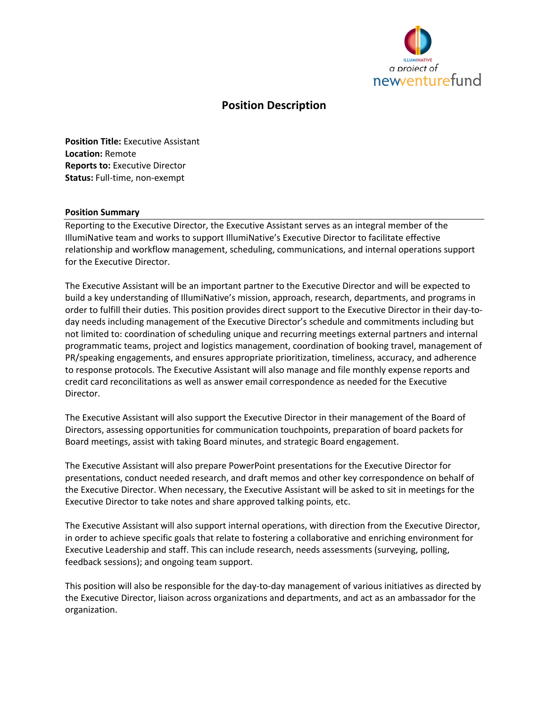

# **Position Description**

**Position Title:** Executive Assistant **Location:** Remote **Reports to:** Executive Director **Status:** Full-time, non-exempt

#### **Position Summary**

Reporting to the Executive Director, the Executive Assistant serves as an integral member of the IllumiNative team and works to support IllumiNative's Executive Director to facilitate effective relationship and workflow management, scheduling, communications, and internal operations support for the Executive Director.

The Executive Assistant will be an important partner to the Executive Director and will be expected to build a key understanding of IllumiNative's mission, approach, research, departments, and programs in order to fulfill their duties. This position provides direct support to the Executive Director in their day-today needs including management of the Executive Director's schedule and commitments including but not limited to: coordination of scheduling unique and recurring meetings external partners and internal programmatic teams, project and logistics management, coordination of booking travel, management of PR/speaking engagements, and ensures appropriate prioritization, timeliness, accuracy, and adherence to response protocols. The Executive Assistant will also manage and file monthly expense reports and credit card reconcilitations as well as answer email correspondence as needed for the Executive Director.

The Executive Assistant will also support the Executive Director in their management of the Board of Directors, assessing opportunities for communication touchpoints, preparation of board packets for Board meetings, assist with taking Board minutes, and strategic Board engagement.

The Executive Assistant will also prepare PowerPoint presentations for the Executive Director for presentations, conduct needed research, and draft memos and other key correspondence on behalf of the Executive Director. When necessary, the Executive Assistant will be asked to sit in meetings for the Executive Director to take notes and share approved talking points, etc.

The Executive Assistant will also support internal operations, with direction from the Executive Director, in order to achieve specific goals that relate to fostering a collaborative and enriching environment for Executive Leadership and staff. This can include research, needs assessments (surveying, polling, feedback sessions); and ongoing team support.

This position will also be responsible for the day-to-day management of various initiatives as directed by the Executive Director, liaison across organizations and departments, and act as an ambassador for the organization.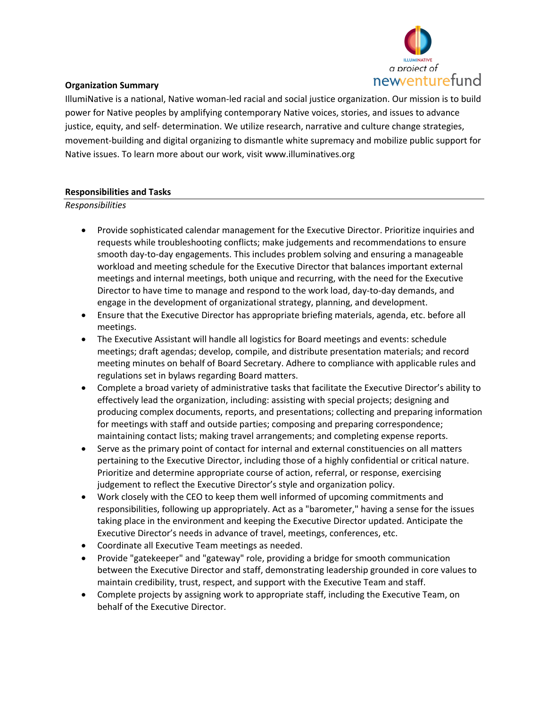

## **Organization Summary**

IllumiNative is a national, Native woman-led racial and social justice organization. Our mission is to build power for Native peoples by amplifying contemporary Native voices, stories, and issues to advance justice, equity, and self- determination. We utilize research, narrative and culture change strategies, movement-building and digital organizing to dismantle white supremacy and mobilize public support for Native issues. To learn more about our work, visit www.illuminatives.org

## **Responsibilities and Tasks**

*Responsibilities*

- Provide sophisticated calendar management for the Executive Director. Prioritize inquiries and requests while troubleshooting conflicts; make judgements and recommendations to ensure smooth day-to-day engagements. This includes problem solving and ensuring a manageable workload and meeting schedule for the Executive Director that balances important external meetings and internal meetings, both unique and recurring, with the need for the Executive Director to have time to manage and respond to the work load, day-to-day demands, and engage in the development of organizational strategy, planning, and development.
- Ensure that the Executive Director has appropriate briefing materials, agenda, etc. before all meetings.
- The Executive Assistant will handle all logistics for Board meetings and events: schedule meetings; draft agendas; develop, compile, and distribute presentation materials; and record meeting minutes on behalf of Board Secretary. Adhere to compliance with applicable rules and regulations set in bylaws regarding Board matters.
- Complete a broad variety of administrative tasks that facilitate the Executive Director's ability to effectively lead the organization, including: assisting with special projects; designing and producing complex documents, reports, and presentations; collecting and preparing information for meetings with staff and outside parties; composing and preparing correspondence; maintaining contact lists; making travel arrangements; and completing expense reports.
- Serve as the primary point of contact for internal and external constituencies on all matters pertaining to the Executive Director, including those of a highly confidential or critical nature. Prioritize and determine appropriate course of action, referral, or response, exercising judgement to reflect the Executive Director's style and organization policy.
- Work closely with the CEO to keep them well informed of upcoming commitments and responsibilities, following up appropriately. Act as a "barometer," having a sense for the issues taking place in the environment and keeping the Executive Director updated. Anticipate the Executive Director's needs in advance of travel, meetings, conferences, etc.
- Coordinate all Executive Team meetings as needed.
- Provide "gatekeeper" and "gateway" role, providing a bridge for smooth communication between the Executive Director and staff, demonstrating leadership grounded in core values to maintain credibility, trust, respect, and support with the Executive Team and staff.
- Complete projects by assigning work to appropriate staff, including the Executive Team, on behalf of the Executive Director.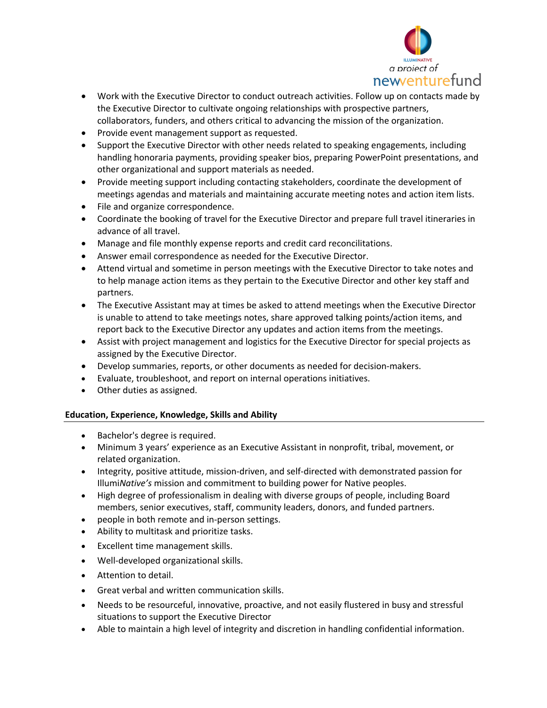

- Work with the Executive Director to conduct outreach activities. Follow up on contacts made by the Executive Director to cultivate ongoing relationships with prospective partners, collaborators, funders, and others critical to advancing the mission of the organization.
- Provide event management support as requested.
- Support the Executive Director with other needs related to speaking engagements, including handling honoraria payments, providing speaker bios, preparing PowerPoint presentations, and other organizational and support materials as needed.
- Provide meeting support including contacting stakeholders, coordinate the development of meetings agendas and materials and maintaining accurate meeting notes and action item lists.
- File and organize correspondence.
- Coordinate the booking of travel for the Executive Director and prepare full travel itineraries in advance of all travel.
- Manage and file monthly expense reports and credit card reconcilitations.
- Answer email correspondence as needed for the Executive Director.
- Attend virtual and sometime in person meetings with the Executive Director to take notes and to help manage action items as they pertain to the Executive Director and other key staff and partners.
- The Executive Assistant may at times be asked to attend meetings when the Executive Director is unable to attend to take meetings notes, share approved talking points/action items, and report back to the Executive Director any updates and action items from the meetings.
- Assist with project management and logistics for the Executive Director for special projects as assigned by the Executive Director.
- Develop summaries, reports, or other documents as needed for decision-makers.
- Evaluate, troubleshoot, and report on internal operations initiatives.
- Other duties as assigned.

## **Education, Experience, Knowledge, Skills and Ability**

- Bachelor's degree is required.
- Minimum 3 years' experience as an Executive Assistant in nonprofit, tribal, movement, or related organization.
- Integrity, positive attitude, mission-driven, and self-directed with demonstrated passion for Illumi*Native's* mission and commitment to building power for Native peoples.
- High degree of professionalism in dealing with diverse groups of people, including Board members, senior executives, staff, community leaders, donors, and funded partners.
- people in both remote and in-person settings.
- Ability to multitask and prioritize tasks.
- Excellent time management skills.
- Well-developed organizational skills.
- Attention to detail.
- Great verbal and written communication skills.
- Needs to be resourceful, innovative, proactive, and not easily flustered in busy and stressful situations to support the Executive Director
- Able to maintain a high level of integrity and discretion in handling confidential information.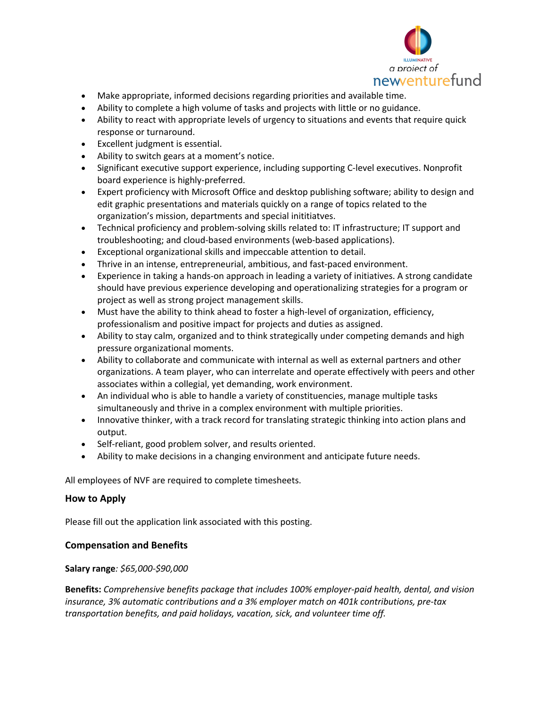

- Make appropriate, informed decisions regarding priorities and available time.
- Ability to complete a high volume of tasks and projects with little or no guidance.
- Ability to react with appropriate levels of urgency to situations and events that require quick response or turnaround.
- Excellent judgment is essential.
- Ability to switch gears at a moment's notice.
- Significant executive support experience, including supporting C-level executives. Nonprofit board experience is highly-preferred.
- Expert proficiency with Microsoft Office and desktop publishing software; ability to design and edit graphic presentations and materials quickly on a range of topics related to the organization's mission, departments and special inititiatves.
- Technical proficiency and problem-solving skills related to: IT infrastructure; IT support and troubleshooting; and cloud-based environments (web-based applications).
- Exceptional organizational skills and impeccable attention to detail.
- Thrive in an intense, entrepreneurial, ambitious, and fast-paced environment.
- Experience in taking a hands-on approach in leading a variety of initiatives. A strong candidate should have previous experience developing and operationalizing strategies for a program or project as well as strong project management skills.
- Must have the ability to think ahead to foster a high-level of organization, efficiency, professionalism and positive impact for projects and duties as assigned.
- Ability to stay calm, organized and to think strategically under competing demands and high pressure organizational moments.
- Ability to collaborate and communicate with internal as well as external partners and other organizations. A team player, who can interrelate and operate effectively with peers and other associates within a collegial, yet demanding, work environment.
- An individual who is able to handle a variety of constituencies, manage multiple tasks simultaneously and thrive in a complex environment with multiple priorities.
- Innovative thinker, with a track record for translating strategic thinking into action plans and output.
- Self-reliant, good problem solver, and results oriented.
- Ability to make decisions in a changing environment and anticipate future needs.

All employees of NVF are required to complete timesheets.

## **How to Apply**

Please fill out the application link associated with this posting.

## **Compensation and Benefits**

## **Salary range***: \$65,000-\$90,000*

**Benefits:** *Comprehensive benefits package that includes 100% employer-paid health, dental, and vision insurance, 3% automatic contributions and a 3% employer match on 401k contributions, pre-tax transportation benefits, and paid holidays, vacation, sick, and volunteer time off.*